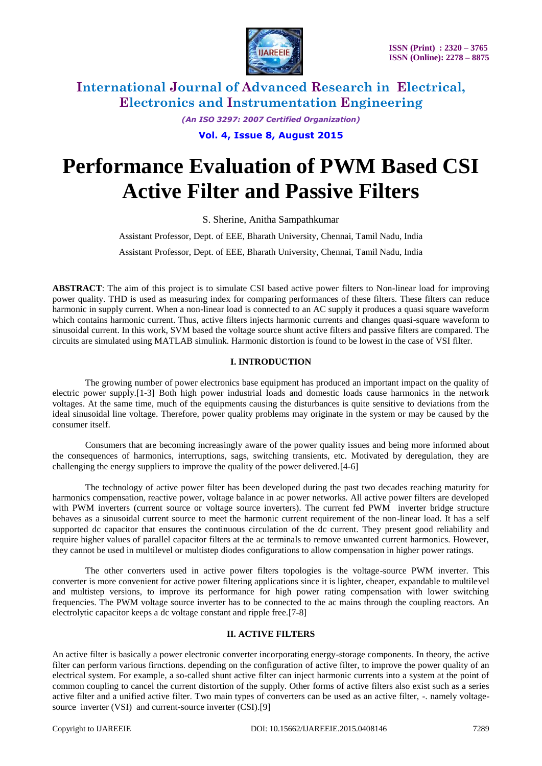

*(An ISO 3297: 2007 Certified Organization)* **Vol. 4, Issue 8, August 2015**

# **Performance Evaluation of PWM Based CSI Active Filter and Passive Filters**

S. Sherine, Anitha Sampathkumar

Assistant Professor, Dept. of EEE, Bharath University, Chennai, Tamil Nadu, India

Assistant Professor, Dept. of EEE, Bharath University, Chennai, Tamil Nadu, India

**ABSTRACT**: The aim of this project is to simulate CSI based active power filters to Non-linear load for improving power quality. THD is used as measuring index for comparing performances of these filters. These filters can reduce harmonic in supply current. When a non-linear load is connected to an AC supply it produces a quasi square waveform which contains harmonic current. Thus, active filters injects harmonic currents and changes quasi-square waveform to sinusoidal current. In this work, SVM based the voltage source shunt active filters and passive filters are compared. The circuits are simulated using MATLAB simulink. Harmonic distortion is found to be lowest in the case of VSI filter.

### **I. INTRODUCTION**

The growing number of power electronics base equipment has produced an important impact on the quality of electric power supply.[1-3] Both high power industrial loads and domestic loads cause harmonics in the network voltages. At the same time, much of the equipments causing the disturbances is quite sensitive to deviations from the ideal sinusoidal line voltage. Therefore, power quality problems may originate in the system or may be caused by the consumer itself.

Consumers that are becoming increasingly aware of the power quality issues and being more informed about the consequences of harmonics, interruptions, sags, switching transients, etc. Motivated by deregulation, they are challenging the energy suppliers to improve the quality of the power delivered.[4-6]

The technology of active power filter has been developed during the past two decades reaching maturity for harmonics compensation, reactive power, voltage balance in ac power networks. All active power filters are developed with PWM inverters (current source or voltage source inverters). The current fed PWM inverter bridge structure behaves as a sinusoidal current source to meet the harmonic current requirement of the non-linear load. It has a self supported dc capacitor that ensures the continuous circulation of the dc current. They present good reliability and require higher values of parallel capacitor filters at the ac terminals to remove unwanted current harmonics. However, they cannot be used in multilevel or multistep diodes configurations to allow compensation in higher power ratings.

The other converters used in active power filters topologies is the voltage-source PWM inverter. This converter is more convenient for active power filtering applications since it is lighter, cheaper, expandable to multilevel and multistep versions, to improve its performance for high power rating compensation with lower switching frequencies. The PWM voltage source inverter has to be connected to the ac mains through the coupling reactors. An electrolytic capacitor keeps a dc voltage constant and ripple free.[7-8]

### **II. ACTIVE FILTERS**

An active filter is basically a power electronic converter incorporating energy-storage components. In theory, the active filter can perform various firnctions. depending on the configuration of active filter, to improve the power quality of an electrical system. For example, a so-called shunt active filter can inject harmonic currents into a system at the point of common coupling to cancel the current distortion of the supply. Other forms of active filters also exist such as a series active filter and a unified active filter. Two main types of converters can be used as an active filter, -. namely voltagesource inverter (VSI) and current-source inverter (CSI).<sup>[9]</sup>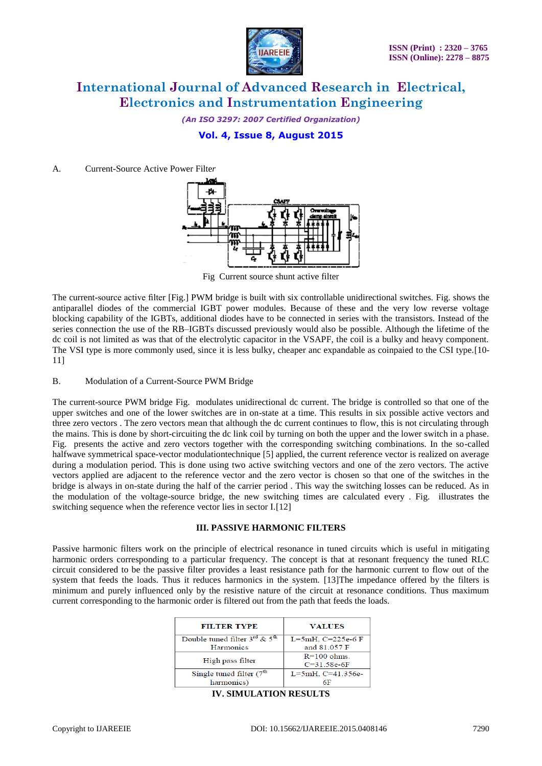

*(An ISO 3297: 2007 Certified Organization)*

**Vol. 4, Issue 8, August 2015**

### A. Current-Source Active Power Filte*r*



Fig Current source shunt active filter

The current-source active filter [Fig.] PWM bridge is built with six controllable unidirectional switches. Fig. shows the antiparallel diodes of the commercial IGBT power modules. Because of these and the very low reverse voltage blocking capability of the IGBTs, additional diodes have to be connected in series with the transistors. Instead of the series connection the use of the RB–IGBTs discussed previously would also be possible. Although the lifetime of the dc coil is not limited as was that of the electrolytic capacitor in the VSAPF, the coil is a bulky and heavy component. The VSI type is more commonly used, since it is less bulky, cheaper anc expandable as coinpaied to the CSI type.[10- 11]

### B. Modulation of a Current-Source PWM Bridge

The current-source PWM bridge Fig. modulates unidirectional dc current. The bridge is controlled so that one of the upper switches and one of the lower switches are in on-state at a time. This results in six possible active vectors and three zero vectors . The zero vectors mean that although the dc current continues to flow, this is not circulating through the mains. This is done by short-circuiting the dc link coil by turning on both the upper and the lower switch in a phase. Fig. presents the active and zero vectors together with the corresponding switching combinations. In the so-called halfwave symmetrical space-vector modulationtechnique [5] applied, the current reference vector is realized on average during a modulation period. This is done using two active switching vectors and one of the zero vectors. The active vectors applied are adjacent to the reference vector and the zero vector is chosen so that one of the switches in the bridge is always in on-state during the half of the carrier period . This way the switching losses can be reduced. As in the modulation of the voltage-source bridge, the new switching times are calculated every . Fig. illustrates the switching sequence when the reference vector lies in sector I.[12]

#### **III. PASSIVE HARMONIC FILTERS**

Passive harmonic filters work on the principle of electrical resonance in tuned circuits which is useful in mitigating harmonic orders corresponding to a particular frequency. The concept is that at resonant frequency the tuned RLC circuit considered to be the passive filter provides a least resistance path for the harmonic current to flow out of the system that feeds the loads. Thus it reduces harmonics in the system. [13]The impedance offered by the filters is minimum and purely influenced only by the resistive nature of the circuit at resonance conditions. Thus maximum current corresponding to the harmonic order is filtered out from the path that feeds the loads.

| <b>FILTER TYPE</b>                      | <b>VALUES</b>     |
|-----------------------------------------|-------------------|
| Double tuned filter $3^{rd}$ & $5^{th}$ | L=5mH, C=225e-6 F |
| <b>Harmonics</b>                        | and 81.057 F      |
| High pass filter                        | $R = 100$ ohms.   |
|                                         | $C = 31.58e-6F$   |
| Single tuned filter $(7th$              | L=5mH, C=41.356e- |
| harmonics)                              |                   |
|                                         |                   |

**IV. SIMULATION RESULTS**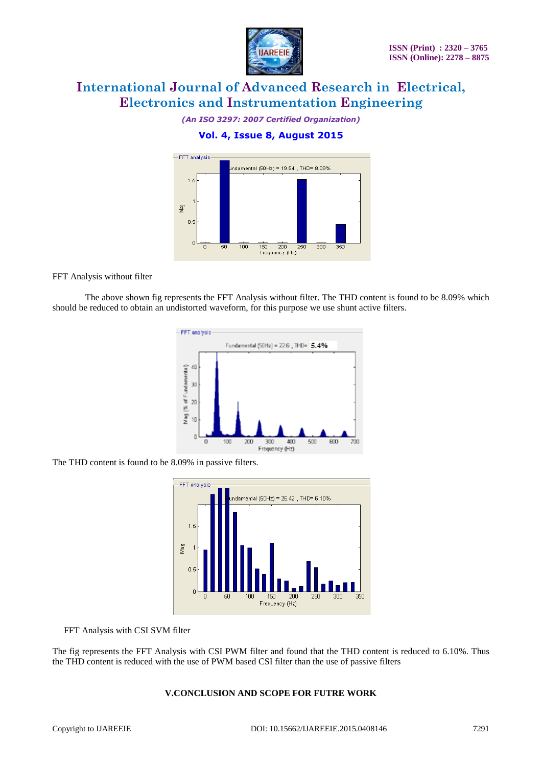

*(An ISO 3297: 2007 Certified Organization)*

# **Vol. 4, Issue 8, August 2015**



FFT Analysis without filter

The above shown fig represents the FFT Analysis without filter. The THD content is found to be 8.09% which should be reduced to obtain an undistorted waveform, for this purpose we use shunt active filters.



The THD content is found to be 8.09% in passive filters.



FFT Analysis with CSI SVM filter

The fig represents the FFT Analysis with CSI PWM filter and found that the THD content is reduced to 6.10%. Thus the THD content is reduced with the use of PWM based CSI filter than the use of passive filters

### **V.CONCLUSION AND SCOPE FOR FUTRE WORK**